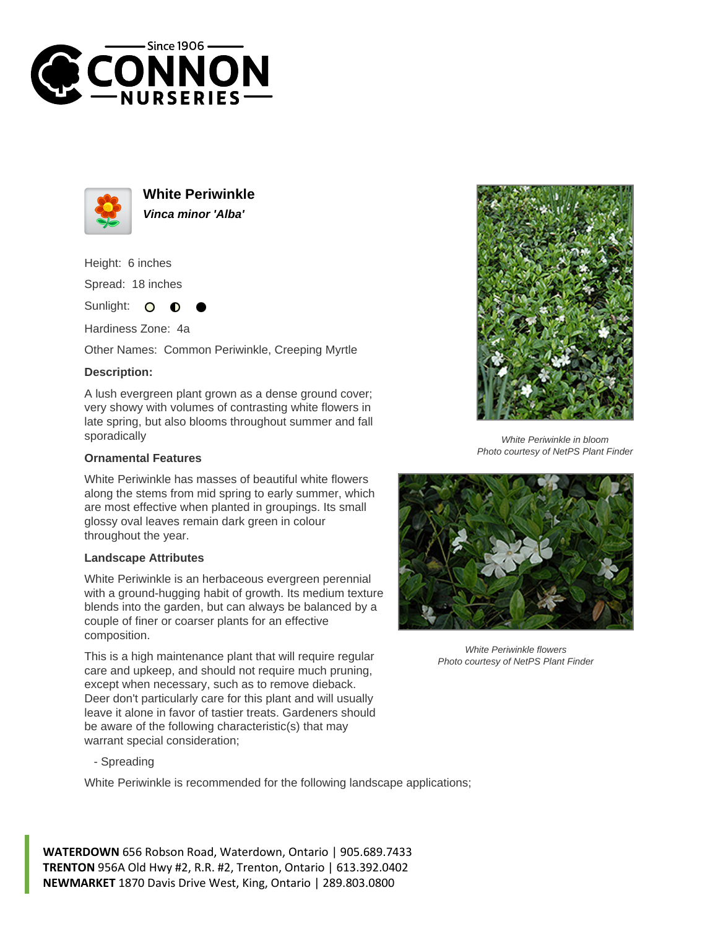



**White Periwinkle Vinca minor 'Alba'**

Height: 6 inches

Spread: 18 inches

Sunlight:  $\bullet$ 

Hardiness Zone: 4a

Other Names: Common Periwinkle, Creeping Myrtle

## **Description:**

A lush evergreen plant grown as a dense ground cover; very showy with volumes of contrasting white flowers in late spring, but also blooms throughout summer and fall sporadically

## **Ornamental Features**

White Periwinkle has masses of beautiful white flowers along the stems from mid spring to early summer, which are most effective when planted in groupings. Its small glossy oval leaves remain dark green in colour throughout the year.

## **Landscape Attributes**

White Periwinkle is an herbaceous evergreen perennial with a ground-hugging habit of growth. Its medium texture blends into the garden, but can always be balanced by a couple of finer or coarser plants for an effective composition.

This is a high maintenance plant that will require regular care and upkeep, and should not require much pruning, except when necessary, such as to remove dieback. Deer don't particularly care for this plant and will usually leave it alone in favor of tastier treats. Gardeners should be aware of the following characteristic(s) that may warrant special consideration;

- Spreading

White Periwinkle is recommended for the following landscape applications;



White Periwinkle in bloom Photo courtesy of NetPS Plant Finder



White Periwinkle flowers Photo courtesy of NetPS Plant Finder

**WATERDOWN** 656 Robson Road, Waterdown, Ontario | 905.689.7433 **TRENTON** 956A Old Hwy #2, R.R. #2, Trenton, Ontario | 613.392.0402 **NEWMARKET** 1870 Davis Drive West, King, Ontario | 289.803.0800